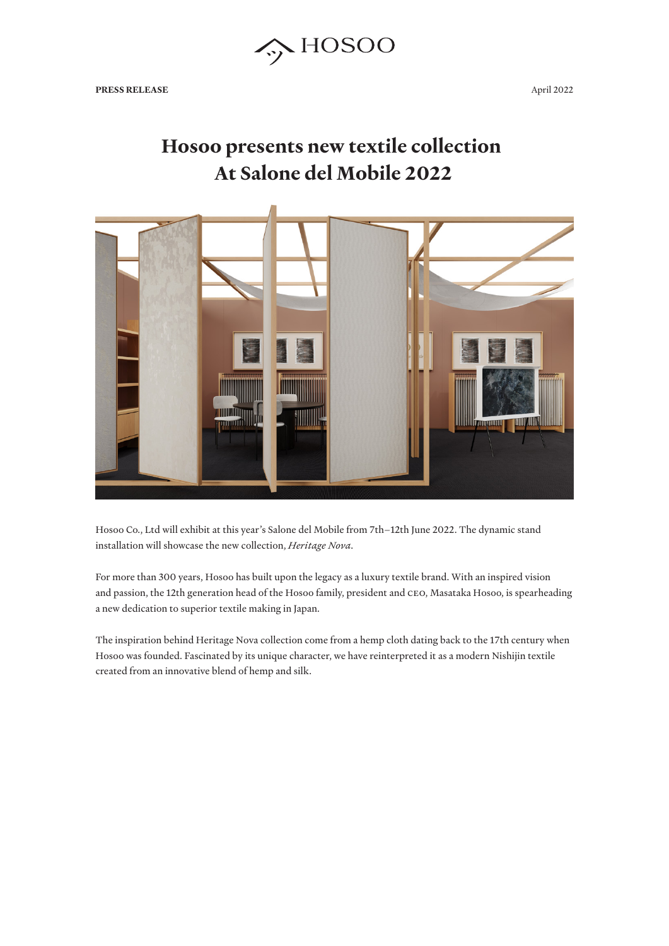

April 2022

## **Hosoo presents new textile collection At Salone del Mobile 2022**



Hosoo Co., Ltd will exhibit at this year's Salone del Mobile from 7th–12th June 2022. The dynamic stand installation will showcase the new collection, *Heritage Nova*.

For more than 300 years, Hosoo has built upon the legacy as a luxury textile brand. With an inspired vision and passion, the 12th generation head of the Hosoo family, president and CEO, Masataka Hosoo, is spearheading a new dedication to superior textile making in Japan.

The inspiration behind Heritage Nova collection come from a hemp cloth dating back to the 17th century when Hosoo was founded. Fascinated by its unique character, we have reinterpreted it as a modern Nishijin textile created from an innovative blend of hemp and silk.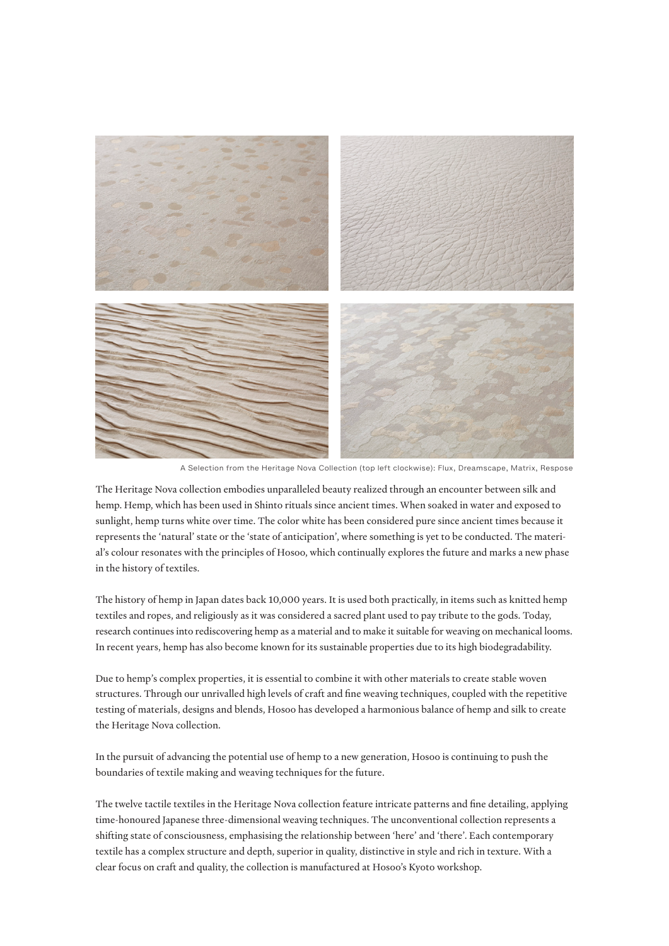

A Selection from the Heritage Nova Collection (top left clockwise): Flux, Dreamscape, Matrix, Respose

The Heritage Nova collection embodies unparalleled beauty realized through an encounter between silk and hemp. Hemp, which has been used in Shinto rituals since ancient times. When soaked in water and exposed to sunlight, hemp turns white over time. The color white has been considered pure since ancient times because it represents the 'natural' state or the 'state of anticipation', where something is yet to be conducted. The material's colour resonates with the principles of Hosoo, which continually explores the future and marks a new phase in the history of textiles.

The history of hemp in Japan dates back 10,000 years. It is used both practically, in items such as knitted hemp textiles and ropes, and religiously as it was considered a sacred plant used to pay tribute to the gods. Today, research continues into rediscovering hemp as a material and to make it suitable for weaving on mechanical looms. In recent years, hemp has also become known for its sustainable properties due to its high biodegradability.

Due to hemp's complex properties, it is essential to combine it with other materials to create stable woven structures. Through our unrivalled high levels of craft and fine weaving techniques, coupled with the repetitive testing of materials, designs and blends, Hosoo has developed a harmonious balance of hemp and silk to create the Heritage Nova collection.

In the pursuit of advancing the potential use of hemp to a new generation, Hosoo is continuing to push the boundaries of textile making and weaving techniques for the future.

The twelve tactile textiles in the Heritage Nova collection feature intricate patterns and fine detailing, applying time-honoured Japanese three-dimensional weaving techniques. The unconventional collection represents a shifting state of consciousness, emphasising the relationship between 'here' and 'there'. Each contemporary textile has a complex structure and depth, superior in quality, distinctive in style and rich in texture. With a clear focus on craft and quality, the collection is manufactured at Hosoo's Kyoto workshop.